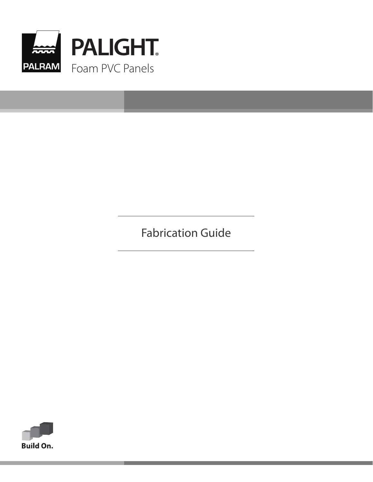

Fabrication Guide

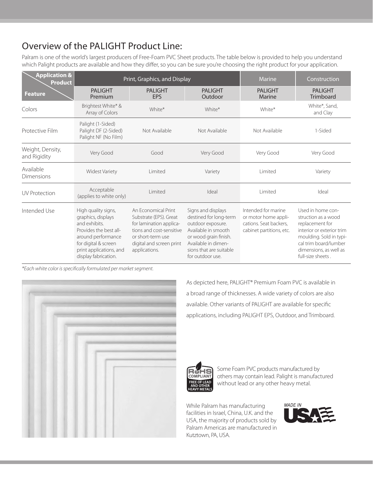# Overview of the PALIGHT Product Line:

Palram is one of the world's largest producers of Free-Foam PVC Sheet products. The table below is provided to help you understand which Palight products are available and how they differ, so you can be sure you're choosing the right product for your application.

| <b>Application &amp;</b><br><b>Product</b> |                                                                                                                                                                                       | Print, Graphics, and Display                                                                                                                                           | Marine                                                                                                                                                                                  | Construction                                                                                      |                                                                                                                                                                                             |
|--------------------------------------------|---------------------------------------------------------------------------------------------------------------------------------------------------------------------------------------|------------------------------------------------------------------------------------------------------------------------------------------------------------------------|-----------------------------------------------------------------------------------------------------------------------------------------------------------------------------------------|---------------------------------------------------------------------------------------------------|---------------------------------------------------------------------------------------------------------------------------------------------------------------------------------------------|
| <b>Feature</b>                             | <b>PALIGHT</b><br>Premium                                                                                                                                                             | <b>PALIGHT</b><br><b>EPS</b>                                                                                                                                           | <b>PALIGHT</b><br>Outdoor                                                                                                                                                               | <b>PALIGHT</b><br>Marine                                                                          | <b>PALIGHT</b><br><b>Trimboard</b>                                                                                                                                                          |
| Colors                                     | Brightest White* &<br>Array of Colors                                                                                                                                                 | White*                                                                                                                                                                 | White*                                                                                                                                                                                  | White*                                                                                            | White*, Sand,<br>and Clay                                                                                                                                                                   |
| Protective Film                            | Palight (1-Sided)<br>Palight DF (2-Sided)<br>Palight NF (No Film)                                                                                                                     | Not Available                                                                                                                                                          | Not Available                                                                                                                                                                           | Not Available                                                                                     | 1-Sided                                                                                                                                                                                     |
| Weight, Density,<br>and Rigidity           | Very Good                                                                                                                                                                             | Good                                                                                                                                                                   | Very Good                                                                                                                                                                               | Very Good                                                                                         | Very Good                                                                                                                                                                                   |
| Available<br>Dimensions                    | <b>Widest Variety</b>                                                                                                                                                                 | Limited                                                                                                                                                                | Variety                                                                                                                                                                                 | Limited                                                                                           | Variety                                                                                                                                                                                     |
| <b>UV</b> Protection                       | Acceptable<br>(applies to white only)                                                                                                                                                 | Limited                                                                                                                                                                | Ideal                                                                                                                                                                                   | Limited                                                                                           | Ideal                                                                                                                                                                                       |
| Intended Use                               | High quality signs,<br>graphics, displays<br>and exhibits.<br>Provides the best all-<br>around performance<br>for digital & screen<br>print applications, and<br>display fabrication. | An Economical Print<br>Substrate (EPS). Great<br>for lamination applica-<br>tions and cost-sensitive<br>or short-term use<br>digital and screen print<br>applications. | Signs and displays<br>destined for long-term<br>outdoor exposure.<br>Available in smooth<br>or wood grain finish.<br>Available in dimen-<br>sions that are suitable<br>for outdoor use. | Intended for marine<br>or motor home appli-<br>cations. Seat backers.<br>cabinet partitions, etc. | Used in home con-<br>struction as a wood<br>replacement for<br>interior or exterior trim<br>moulding. Sold in typi-<br>cal trim board/lumber<br>dimensions, as well as<br>full-size sheets. |

*\*Each white color is specifically formulated per market segment.*



As depicted here, PALIGHT® Premium Foam PVC is available in a broad range of thicknesses. A wide variety of colors are also available. Other variants of PALIGHT are available for specific applications, including PALIGHT EPS, Outdoor, and Trimboard.



Some Foam PVC products manufactured by others may contain lead. Palight is manufactured without lead or any other heavy metal.

While Palram has manufacturing facilities in Israel, China, U.K. and the USA, the majority of products sold by Palram Americas are manufactured in Kutztown, PA, USA.

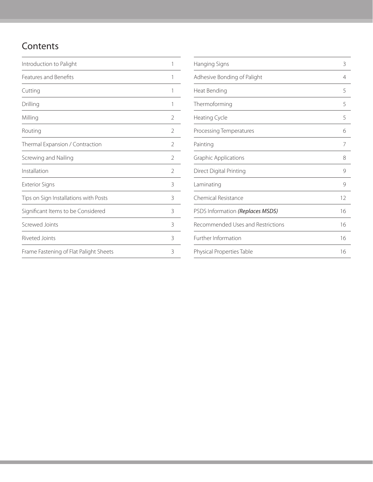# **Contents**

| Introduction to Palight                | 1 |
|----------------------------------------|---|
| Features and Benefits                  | 1 |
| Cutting                                | 1 |
| Drilling                               | 1 |
| Milling                                | 2 |
| Routing                                | 2 |
| Thermal Expansion / Contraction        | 2 |
| Screwing and Nailing                   | 2 |
| Installation                           | 2 |
| <b>Exterior Signs</b>                  | 3 |
| Tips on Sign Installations with Posts  | 3 |
| Significant Items to be Considered     | 3 |
| Screwed Joints                         | 3 |
| Riveted Joints                         | 3 |
| Frame Fastening of Flat Palight Sheets | 3 |

| Hanging Signs                     | 3              |
|-----------------------------------|----------------|
| Adhesive Bonding of Palight       | $\overline{4}$ |
| Heat Bending                      | 5              |
| Thermoforming                     | 5              |
| Heating Cycle                     | 5              |
| Processing Temperatures           | 6              |
| Painting                          | 7              |
| <b>Graphic Applications</b>       | 8              |
| Direct Digital Printing           | 9              |
| Laminating                        | 9              |
| Chemical Resistance               | 12             |
| PSDS Information (Replaces MSDS)  | 16             |
| Recommended Uses and Restrictions | 16             |
| Further Information               | 16             |
| Physical Properties Table         | 16             |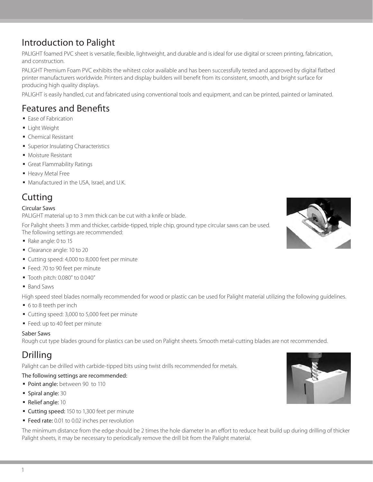### PALIGHT foamed PVC sheet is versatile, flexible, lightweight, and durable and is ideal for use digital or screen printing, fabrication, and construction.

Introduction to Palight

PALIGHT Premium Foam PVC exhibits the whitest color available and has been successfully tested and approved by digital flatbed printer manufacturers worldwide. Printers and display builders will benefit from its consistent, smooth, and bright surface for producing high quality displays.

PALIGHT is easily handled, cut and fabricated using conventional tools and equipment, and can be printed, painted or laminated.

### Features and Benefits

- Ease of Fabrication
- Light Weight
- § Chemical Resistant
- Superior Insulating Characteristics
- Moisture Resistant
- § Great Flammability Ratings
- § Heavy Metal Free
- Manufactured in the USA, Israel, and U.K.

### **Cutting**

### Circular Saws

PALIGHT material up to 3 mm thick can be cut with a knife or blade.

For Palight sheets 3 mm and thicker, carbide-tipped, triple chip, ground type circular saws can be used. The following settings are recommended:

- § Rake angle: 0 to 15
- § Clearance angle: 10 to 20
- Cutting speed: 4,000 to 8,000 feet per minute
- Feed: 70 to 90 feet per minute
- § Tooth pitch: 0.080" to 0.040"
- Band Saws

High speed steel blades normally recommended for wood or plastic can be used for Palight material utilizing the following guidelines.

- 6 to 8 teeth per inch
- Cutting speed: 3,000 to 5,000 feet per minute
- Feed: up to 40 feet per minute

#### Saber Saws

Rough cut type blades ground for plastics can be used on Palight sheets. Smooth metal-cutting blades are not recommended.

## Drilling

Palight can be drilled with carbide-tipped bits using twist drills recommended for metals.

### The following settings are recommended:

- Point angle: between 90 to 110
- § Spiral angle: 30
- § Relief angle: 10
- Cutting speed: 150 to 1,300 feet per minute
- Feed rate: 0.01 to 0.02 inches per revolution

The minimum distance from the edge should be 2 times the hole diameter In an effort to reduce heat build up during drilling of thicker Palight sheets, it may be necessary to periodically remove the drill bit from the Palight material.



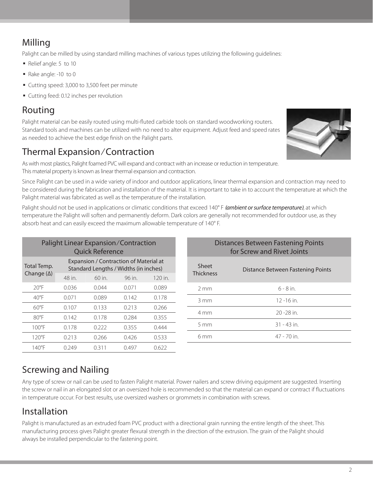# Milling

Palight can be milled by using standard milling machines of various types utilizing the following guidelines:

- § Relief angle: 5 to 10
- § Rake angle: -10 to 0
- Cutting speed: 3,000 to 3,500 feet per minute
- Cutting feed: 0.12 inches per revolution

## Routing

Palight material can be easily routed using multi-fluted carbide tools on standard woodworking routers. Standard tools and machines can be utilized with no need to alter equipment. Adjust feed and speed rates as needed to achieve the best edge finish on the Palight parts.

# Thermal Expansion/Contraction

As with most plastics, Palight foamed PVC will expand and contract with an increase or reduction in temperature. This material property is known as linear thermal expansion and contraction.

Since Palight can be used in a wide variety of indoor and outdoor applications, linear thermal expansion and contraction may need to be considered during the fabrication and installation of the material. It is important to take in to account the temperature at which the Palight material was fabricated as well as the temperature of the installation.

Palight should not be used in applications or climatic conditions that exceed 140° F *(ambient or surface temperature)*, at which temperature the Palight will soften and permanently deform. Dark colors are generally not recommended for outdoor use, as they absorb heat and can easily exceed the maximum allowable temperature of 140° F.

| Palight Linear Expansion/Contraction<br><b>Quick Reference</b> |                                                                                 |        |        |         |  |  |  |  |
|----------------------------------------------------------------|---------------------------------------------------------------------------------|--------|--------|---------|--|--|--|--|
| Total Temp.                                                    | Expansion / Contraction of Material at<br>Standard Lengths / Widths (in inches) |        |        |         |  |  |  |  |
| Change $(\Delta)$                                              | 48 in.                                                                          | 60 in. | 96 in. | 120 in. |  |  |  |  |
| $20^{\circ}$ F                                                 | 0.036                                                                           | 0.044  | 0.071  | 0.089   |  |  |  |  |
| $40^{\circ}$ F                                                 | 0.071                                                                           | 0.089  | 0.142  | 0.178   |  |  |  |  |
| $60^{\circ}$ F                                                 | 0.107                                                                           | 0.133  | 0.213  | 0.266   |  |  |  |  |
| $80^{\circ}$ F                                                 | 0.142                                                                           | 0.178  | 0.284  | 0.355   |  |  |  |  |
| $100^{\circ}$ F                                                | 0.178                                                                           | 0.222  | 0.355  | 0.444   |  |  |  |  |
| $120^{\circ}$ F                                                | 0.213                                                                           | 0.266  | 0.426  | 0.533   |  |  |  |  |
| $140^{\circ}$ F                                                | 0.249                                                                           | 0.311  | 0.497  | 0.622   |  |  |  |  |

| Distances Between Fastening Points<br>for Screw and Rivet Joints |                                   |  |  |  |  |
|------------------------------------------------------------------|-----------------------------------|--|--|--|--|
| Sheet<br><b>Thickness</b>                                        | Distance Between Fastening Points |  |  |  |  |
| $2 \text{ mm}$                                                   | $6 - 8$ in                        |  |  |  |  |
| 3 mm                                                             | $12 - 16$ in                      |  |  |  |  |
| 4 mm                                                             | $20 - 28$ in                      |  |  |  |  |
| $5 \text{ mm}$                                                   | $31 - 43$ in.                     |  |  |  |  |
| 6 <sub>mm</sub>                                                  | $47 - 70$ in                      |  |  |  |  |
|                                                                  |                                   |  |  |  |  |

# Screwing and Nailing

Any type of screw or nail can be used to fasten Palight material. Power nailers and screw driving equipment are suggested. Inserting the screw or nail in an elongated slot or an oversized hole is recommended so that the material can expand or contract if fluctuations in temperature occur. For best results, use oversized washers or grommets in combination with screws.

# Installation

Palight is manufactured as an extruded foam PVC product with a directional grain running the entire length of the sheet. This manufacturing process gives Palight greater flexural strength in the direction of the extrusion. The grain of the Palight should always be installed perpendicular to the fastening point.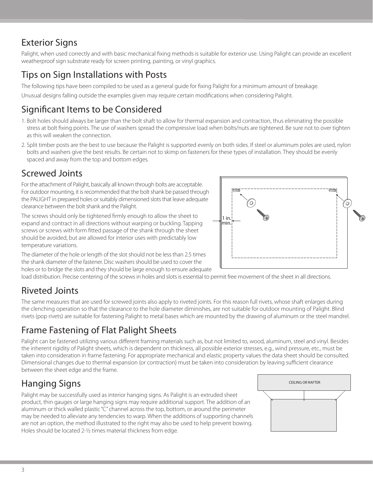# Exterior Signs

Palight, when used correctly and with basic mechanical fixing methods is suitable for exterior use. Using Palight can provide an excellent weatherproof sign substrate ready for screen printing, painting, or vinyl graphics.

# Tips on Sign Installations with Posts

The following tips have been compiled to be used as a general guide for fixing Palight for a minimum amount of breakage.

Unusual designs falling outside the examples given may require certain modifications when considering Palight.

## Significant Items to be Considered

- 1. Bolt holes should always be larger than the bolt shaft to allow for thermal expansion and contraction, thus eliminating the possible stress at bolt fixing points. The use of washers spread the compressive load when bolts/nuts are tightened. Be sure not to over tighten as this will weaken the connection.
- 2. Split timber posts are the best to use because the Palight is supported evenly on both sides. If steel or aluminum poles are used, nylon bolts and washers give the best results. Be certain not to skimp on fasteners for these types of installation. They should be evenly spaced and away from the top and bottom edges.

# Screwed Joints

For the attachment of Palight, basically all known through bolts are acceptable. For outdoor mounting, it is recommended that the bolt shank be passed through the PALIGHT in prepared holes or suitably dimensioned slots that leave adequate clearance between the bolt shank and the Palight.

The screws should only be tightened firmly enough to allow the sheet to expand and contract in all directions without warping or buckling. Tapping screws or screws with form fitted passage of the shank through the sheet should be avoided, but are allowed for interior uses with predictably low temperature variations.



The diameter of the hole or length of the slot should not be less than 2.5 times the shank diameter of the fastener. Disc washers should be used to cover the holes or to bridge the slots and they should be large enough to ensure adequate

load distribution. Precise centering of the screws in holes and slots is essential to permit free movement of the sheet in all directions.

# Riveted Joints

The same measures that are used for screwed joints also apply to riveted joints. For this reason full rivets, whose shaft enlarges during the clenching operation so that the clearance to the hole diameter diminishes, are not suitable for outdoor mounting of Palight. Blind rivets (pop rivets) are suitable for fastening Palight to metal bases which are mounted by the drawing of aluminum or the steel mandrel.

# Frame Fastening of Flat Palight Sheets

Palight can be fastened utilizing various different framing materials such as, but not limited to, wood, aluminum, steel and vinyl. Besides the inherent rigidity of Palight sheets, which is dependent on thickness, all possible exterior stresses, e.g., wind pressure, etc., must be taken into consideration in frame fastening. For appropriate mechanical and elastic property values the data sheet should be consulted. Dimensional changes due to thermal expansion (or contraction) must be taken into consideration by leaving sufficient clearance between the sheet edge and the frame.

# Hanging Signs

Palight may be successfully used as interior hanging signs. As Palight is an extruded sheet product, thin gauges or large hanging signs may require additional support. The addition of an aluminum or thick walled plastic "C" channel across the top, bottom, or around the perimeter may be needed to alleviate any tendencies to warp. When the additions of supporting channels are not an option, the method illustrated to the right may also be used to help prevent bowing. Holes should be located 2-1/2 times material thickness from edge.

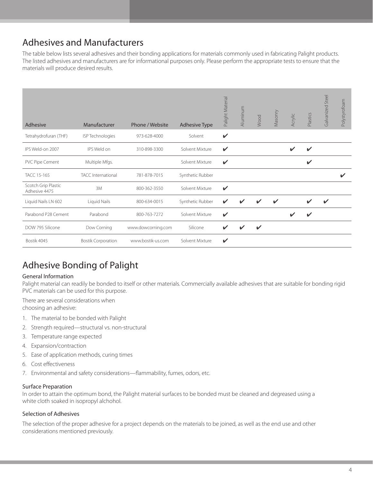# Adhesives and Manufacturers

The table below lists several adhesives and their bonding applications for materials commonly used in fabricating Palight products. The listed adhesives and manufacturers are for informational purposes only. Please perform the appropriate tests to ensure that the materials will produce desired results.

| Adhesive                             | Manufacturer              | Phone / Website    | <b>Adhesive Type</b> | Palight Material | Aluminum | Wood               | Masonry | Acrylic | Plastics                 | Steel<br>Galvanized | Polystyrofoam           |
|--------------------------------------|---------------------------|--------------------|----------------------|------------------|----------|--------------------|---------|---------|--------------------------|---------------------|-------------------------|
| Tetrahydrofuran (THF)                | ISP Technologies          | 973-628-4000       | Solvent              | $\mathbf{v}$     |          |                    |         |         |                          |                     |                         |
| IPS Weld-on 2007                     | IPS Weld on               | 310-898-3300       | Solvent Mixture      | ✓                |          |                    |         |         | $\overline{\mathscr{L}}$ |                     |                         |
| PVC Pipe Cement                      | Multiple Mfgs.            |                    | Solvent Mixture      | $\checkmark$     |          |                    |         |         | ✔                        |                     |                         |
| <b>TACC 15-165</b>                   | TACC International        | 781-878-7015       | Synthetic Rubber     |                  |          |                    |         |         |                          |                     | $\overline{\mathbf{v}}$ |
| Scotch Grip Plastic<br>Adhesive 4475 | 3M                        | 800-362-3550       | Solvent Mixture      | $\checkmark$     |          |                    |         |         |                          |                     |                         |
| Liquid Nails LN 602                  | Liquid Nails              | 800-634-0015       | Synthetic Rubber     | ✔                |          |                    |         |         |                          |                     |                         |
| Parabond P28 Cement                  | Parabond                  | 800-763-7272       | Solvent Mixture      | $\checkmark$     |          |                    |         |         | $\overline{\mathbf{v}}$  |                     |                         |
| DOW 795 Silicone                     | Dow Corning               | www.dowcorning.com | Silicone             | ✔                |          | $\boldsymbol{\nu}$ |         |         |                          |                     |                         |
| Bostik 4045                          | <b>Bostik Corporation</b> | www.bostik-us.com  | Solvent Mixture      | ✔                |          |                    |         |         |                          |                     |                         |

# Adhesive Bonding of Palight

### General Information

Palight material can readily be bonded to itself or other materials. Commercially available adhesives that are suitable for bonding rigid PVC materials can be used for this purpose.

There are several considerations when

choosing an adhesive:

- 1. The material to be bonded with Palight
- 2. Strength required—structural vs. non-structural
- 3. Temperature range expected
- 4. Expansion/contraction
- 5. Ease of application methods, curing times
- 6. Cost effectiveness
- 7. Environmental and safety considerations—flammability, fumes, odors, etc.

#### Surface Preparation

In order to attain the optimum bond, the Palight material surfaces to be bonded must be cleaned and degreased using a white cloth soaked in isopropyl alchohol.

### Selection of Adhesives

The selection of the proper adhesive for a project depends on the materials to be joined, as well as the end use and other considerations mentioned previously.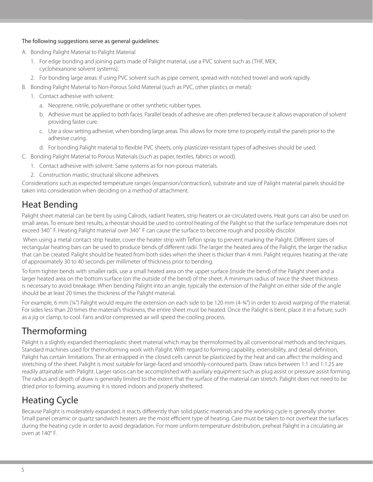### The following suggestions serve as general guidelines:

- A. Bonding Palight Material to Palight Material
	- 1. For edge bonding and joining parts made of Palight material, use a PVC solvent such as (THF, MEK, cyclohexanone solvent systems).
	- 2. For bonding large areas: If using PVC solvent such as pipe cement, spread with notched trowel and work rapidly.
- B. Bonding Palight Material to Non-Porous Solid Material (such as PVC, other plastics or metal):
	- 1. Contact adhesive with solvent:
		- a. Neoprene, nitrile, polyurethane or other synthetic rubber types.
		- b. Adhesive must be applied to both faces. Parallel beads of adhesive are often preferred because it allows evaporation of solvent providing faster cure.
		- c. Use a slow setting adhesive, when bonding large areas. This allows for more time to properly install the panels prior to the adhesive curing.
		- d. For bonding Palight material to flexible PVC sheets, only plasticizer-resistant types of adhesives should be used.
- C. Bonding Palight Material to Porous Materials (such as paper, textiles, fabrics or wood).
	- 1. Contact adhesive with solvent: Same systems as for non-porous materials.
	- 2. Construction mastic, structural silicone adhesives.

Considerations such as expected temperature ranges (expansion/contraction), substrate and size of Palight material panels should be taken into consideration when deciding on a method of attachment.

### Heat Bending

Palight sheet material can be bent by using Calrods, radiant heaters, strip heaters or air-circulated ovens. Heat guns can also be used on small areas. To ensure best results, a rheostat should be used to control heating of the Palight so that the surface temperature does not exceed 340˚ F. Heating Palight material over 340˚ F can cause the surface to become rough and possibly discolor.

 When using a metal contact strip heater, cover the heater strip with Teflon spray to prevent marking the Palight. Different sizes of rectangular heating bars can be used to produce bends of different radii. The larger the heated area of the Palight, the larger the radius that can be created. Palight should be heated from both sides when the sheet is thicker than 4 mm. Palight requires heating at the rate of approximately 30 to 40 seconds per millimeter of thickness prior to bending.

To form tighter bends with smaller radii, use a small heated area on the upper surface (inside the bend) of the Palight sheet and a larger heated area on the bottom surface (on the outside of the bend) of the sheet. A minimum radius of twice the sheet thickness is necessary to avoid breakage. When bending Palight into an angle, typically the extension of the Palight on either side of the angle should be at least 20 times the thickness of the Palight material.

For example, 6 mm (1/4") Palight would require the extension on each side to be 120 mm (4-3/4") in order to avoid warping of the material. For sides less than 20 times the material's thickness, the entire sheet must be heated. Once the Palight is bent, place it in a fixture, such as a jig or clamp, to cool. Fans and/or compressed air will speed the cooling process.

# Thermoforming

Palight is a slightly expanded thermoplastic sheet material which may be thermoformed by all conventional methods and techniques. Standard machines used for thermoforming work with Palight. With regard to forming capability, extensibility, and detail definition, Palight has certain limitations. The air entrapped in the closed cells cannot be plasticized by the heat and can affect the molding and stretching of the sheet. Palight is most suitable for large-faced and smoothly-contoured parts. Draw ratios between 1:1 and 1:1.25 are readily attainable with Palight. Larger ratios can be accomplished with auxiliary equipment such as plug assist or pressure assist forming. The radius and depth of draw is generally limited to the extent that the surface of the material can stretch. Palight does not need to be dried prior to forming, assuming it is stored indoors and properly sheltered.

## Heating Cycle

Because Palight is moderately expanded, it reacts differently than solid plastic materials and the working cycle is generally shorter. Small panel ceramic or quartz sandwich heaters are the most efficient type of heating. Care must be taken to not overheat the surfaces during the heating cycle in order to avoid degradation. For more uniform temperature distribution, preheat Palight in a circulating air oven at 140° F.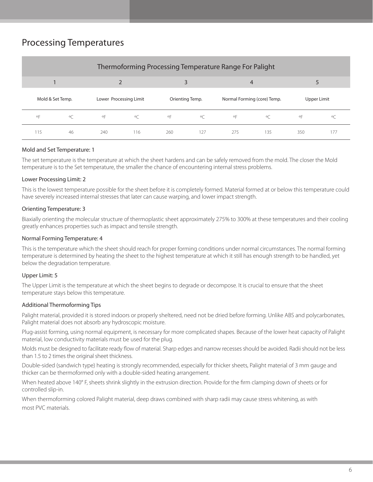## Processing Temperatures

| Thermoforming Processing Temperature Range For Palight |         |                        |            |                    |                 |                |                             |                    |             |
|--------------------------------------------------------|---------|------------------------|------------|--------------------|-----------------|----------------|-----------------------------|--------------------|-------------|
|                                                        |         |                        |            |                    |                 | $\overline{4}$ |                             |                    |             |
| Mold & Set Temp.                                       |         | Lower Processing Limit |            |                    | Orienting Temp. |                | Normal Forming (core) Temp. |                    | Upper Limit |
| $\circ \mathsf{F}$                                     | $\circ$ | $\circ \mathsf{F}$     | $^{\circ}$ | $\circ \mathsf{F}$ | O(              | $\circ$ F      | $\circ$                     | $\circ \mathsf{F}$ |             |
| 115                                                    | 46      | 240                    | 116        | 260                | 127             | 275            | 135                         | 350                | 177         |

### Mold and Set Temperature: 1

The set temperature is the temperature at which the sheet hardens and can be safely removed from the mold. The closer the Mold temperature is to the Set temperature, the smaller the chance of encountering internal stress problems.

#### Lower Processing Limit: 2

This is the lowest temperature possible for the sheet before it is completely formed. Material formed at or below this temperature could have severely increased internal stresses that later can cause warping, and lower impact strength.

#### Orienting Temperature: 3

Biaxially orienting the molecular structure of thermoplastic sheet approximately 275% to 300% at these temperatures and their cooling greatly enhances properties such as impact and tensile strength.

#### Normal Forming Temperature: 4

This is the temperature which the sheet should reach for proper forming conditions under normal circumstances. The normal forming temperature is determined by heating the sheet to the highest temperature at which it still has enough strength to be handled, yet below the degradation temperature.

#### Upper Limit: 5

The Upper Limit is the temperature at which the sheet begins to degrade or decompose. It is crucial to ensure that the sheet temperature stays below this temperature.

#### Additional Thermoforming Tips

Palight material, provided it is stored indoors or properly sheltered, need not be dried before forming. Unlike ABS and polycarbonates, Palight material does not absorb any hydroscopic moisture.

Plug-assist forming, using normal equipment, is necessary for more complicated shapes. Because of the lower heat capacity of Palight material, low conductivity materials must be used for the plug.

Molds must be designed to facilitate ready flow of material. Sharp edges and narrow recesses should be avoided. Radii should not be less than 1.5 to 2 times the original sheet thickness.

Double-sided (sandwich type) heating is strongly recommended, especially for thicker sheets, Palight material of 3 mm gauge and thicker can be thermoformed only with a double-sided heating arrangement.

When heated above 140° F, sheets shrink slightly in the extrusion direction. Provide for the firm clamping down of sheets or for controlled slip-in.

When thermoforming colored Palight material, deep draws combined with sharp radii may cause stress whitening, as with most PVC materials.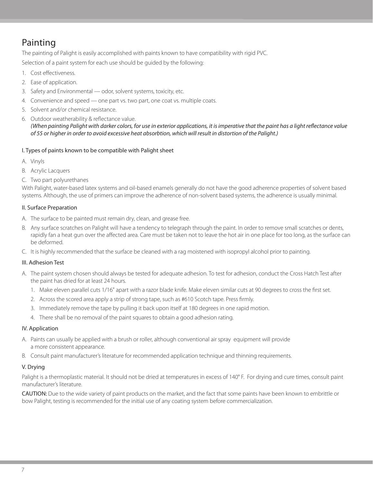# Painting

The painting of Palight is easily accomplished with paints known to have compatibility with rigid PVC.

Selection of a paint system for each use should be guided by the following:

- 1. Cost effectiveness.
- 2. Ease of application.
- 3. Safety and Environmental odor, solvent systems, toxicity, etc.
- 4. Convenience and speed one part vs. two part, one coat vs. multiple coats.
- 5. Solvent and/or chemical resistance.
- 6. Outdoor weatherability & reflectance value. *(When painting Palight with darker colors, for use in exterior applications, it is imperative that the paint has a light reflectance value of 55 or higher in order to avoid excessive heat absorbtion, which will result in distortion of the Palight.)*

### I. Types of paints known to be compatible with Palight sheet

- A. Vinyls
- B. Acrylic Lacquers
- C. Two part polyurethanes

With Palight, water-based latex systems and oil-based enamels generally do not have the good adherence properties of solvent based systems. Although, the use of primers can improve the adherence of non-solvent based systems, the adherence is usually minimal.

### II. Surface Preparation

- A. The surface to be painted must remain dry, clean, and grease free.
- B. Any surface scratches on Palight will have a tendency to telegraph through the paint. In order to remove small scratches or dents, rapidly fan a heat gun over the affected area. Care must be taken not to leave the hot air in one place for too long, as the surface can be deformed.
- C. It is highly recommended that the surface be cleaned with a rag moistened with isopropyl alcohol prior to painting.

### III. Adhesion Test

- A. The paint system chosen should always be tested for adequate adhesion. To test for adhesion, conduct the Cross Hatch Test after the paint has dried for at least 24 hours.
	- 1. Make eleven parallel cuts 1/16" apart with a razor blade knife. Make eleven similar cuts at 90 degrees to cross the first set.
	- 2. Across the scored area apply a strip of strong tape, such as #610 Scotch tape. Press firmly.
	- 3. Immediately remove the tape by pulling it back upon itself at 180 degrees in one rapid motion.
	- 4. There shall be no removal of the paint squares to obtain a good adhesion rating.

### IV. Application

- A. Paints can usually be applied with a brush or roller, although conventional air spray equipment will provide a more consistent appearance.
- B. Consult paint manufacturer's literature for recommended application technique and thinning requirements.

### V. Drying

Palight is a thermoplastic material. It should not be dried at temperatures in excess of 140° F. For drying and cure times, consult paint manufacturer's literature.

CAUTION: Due to the wide variety of paint products on the market, and the fact that some paints have been known to embrittle or bow Palight, testing is recommended for the initial use of any coating system before commercialization.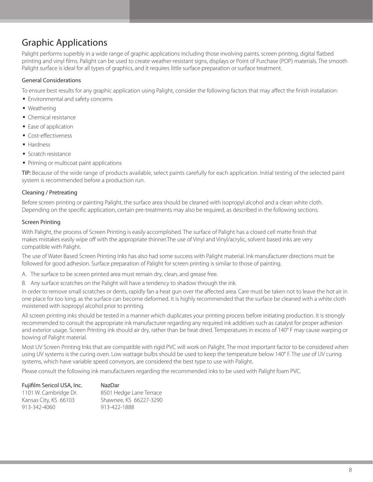## Graphic Applications

Palight performs superbly in a wide range of graphic applications including those involving paints, screen printing, digital flatbed printing and vinyl films. Palight can be used to create weather-resistant signs, displays or Point of Purchase (POP) materials. The smooth Palight surface is ideal for all types of graphics, and it requires little surface preparation or surface treatment.

### General Considerations

To ensure best results for any graphic application using Palight, consider the following factors that may affect the finish installation:

- Environmental and safety concerns
- § Weathering
- § Chemical resistance
- Ease of application
- Cost-effectiveness
- Hardness
- § Scratch resistance
- Priming or multicoat paint applications

TIP: Because of the wide range of products available, select paints carefully for each application. Initial testing of the selected paint system is recommended before a production run.

### Cleaning / Pretreating

Before screen printing or painting Palight, the surface area should be cleaned with isopropyl alcohol and a clean white cloth. Depending on the specific application, certain pre-treatments may also be required, as described in the following sections.

#### Screen Printing

With Palight, the process of Screen Printing is easily accomplished. The surface of Palight has a closed cell matte finish that makes mistakes easily wipe off with the appropriate thinner.The use of Vinyl and Vinyl/acrylic, solvent based inks are very compatible with Palight.

The use of Water Based Screen Printing Inks has also had some success with Palight material. Ink manufacturer directions must be followed for good adhesion. Surface preparation of Palight for screen printing is similar to those of painting.

- A. The surface to be screen printed area must remain dry, clean, and grease free.
- B. Any surface scratches on the Palight will have a tendency to shadow through the ink.

In order to remove small scratches or dents, rapidly fan a heat gun over the affected area. Care must be taken not to leave the hot air in one place for too long, as the surface can become deformed. It is highly recommended that the surface be cleaned with a white cloth moistened with isopropyl alcohol prior to printing.

All screen printing inks should be tested in a manner which duplicates your printing process before initiating production. It is strongly recommended to consult the appropriate ink manufacturer regarding any required ink additives such as catalyst for proper adhesion and exterior usage. Screen Printing ink should air dry, rather than be heat dried. Temperatures in excess of 140° F may cause warping or bowing of Palight material.

Most UV Screen Printing Inks that are compatible with rigid PVC will work on Palight. The most important factor to be considered when using UV systems is the curing oven. Low wattage bulbs should be used to keep the temperature below 140° F. The use of UV curing systems, which have variable speed conveyors, are considered the best type to use with Palight.

Please consult the following ink manufacturers regarding the recommended inks to be used with Palight foam PVC.

| Fujifilm Sericol USA, Inc. | NazDar                  |
|----------------------------|-------------------------|
| 1101 W. Cambridge Dr.      | 8501 Hedge Lane Terrace |
| Kansas City, KS 66103      | Shawnee, KS 66227-3290  |
| 913-342-4060               | 913-422-1888            |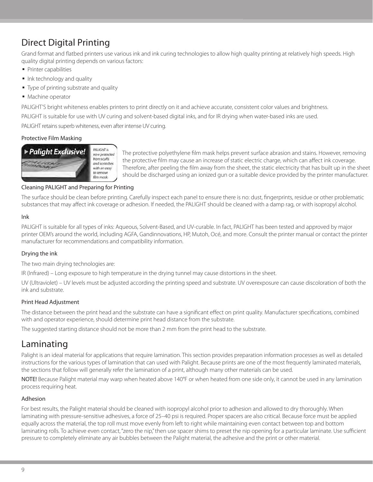# Direct Digital Printing

Grand format and flatbed printers use various ink and ink curing technologies to allow high quality printing at relatively high speeds. High quality digital printing depends on various factors:

- § Printer capabilities
- Ink technology and quality
- Type of printing substrate and quality
- Machine operator

PALIGHT'S bright whiteness enables printers to print directly on it and achieve accurate, consistent color values and brightness.

PALIGHT is suitable for use with UV curing and solvent-based digital inks, and for IR drying when water-based inks are used.

PALIGHT retains superb whiteness, even after intense UV curing.

### Protective Film Masking



The protective polyethylene film mask helps prevent surface abrasion and stains. However, removing the protective film may cause an increase of static electric charge, which can affect ink coverage. Therefore, after peeling the film away from the sheet, the static electricity that has built up in the sheet should be discharged using an ionized gun or a suitable device provided by the printer manufacturer.

### Cleaning PALIGHT and Preparing for Printing

The surface should be clean before printing. Carefully inspect each panel to ensure there is no: dust, fingerprints, residue or other problematic substances that may affect ink coverage or adhesion. If needed, the PALIGHT should be cleaned with a damp rag, or with isopropyl alcohol.

### Ink

PALIGHT is suitable for all types of inks: Aqueous, Solvent-Based, and UV-curable. In fact, PALIGHT has been tested and approved by major printer OEM's around the world, including AGFA, Gandinnovations, HP, Mutoh, Océ, and more. Consult the printer manual or contact the printer manufacturer for recommendations and compatibility information.

### Drying the ink

The two main drying technologies are:

IR (Infrared) – Long exposure to high temperature in the drying tunnel may cause distortions in the sheet.

UV (Ultraviolet) – UV levels must be adjusted according the printing speed and substrate. UV overexposure can cause discoloration of both the ink and substrate.

### Print Head Adjustment

The distance between the print head and the substrate can have a significant effect on print quality. Manufacturer specifications, combined with and operator experience, should determine print head distance from the substrate.

The suggested starting distance should not be more than 2 mm from the print head to the substrate.

### Laminating

Palight is an ideal material for applications that require lamination. This section provides preparation information processes as well as detailed instructions for the various types of lamination that can used with Palight. Because prints are one of the most frequently laminated materials, the sections that follow will generally refer the lamination of a print, although many other materials can be used.

NOTE! Because Palight material may warp when heated above 140°F or when heated from one side only, it cannot be used in any lamination process requiring heat.

### Adhesion

For best results, the Palight material should be cleaned with isopropyl alcohol prior to adhesion and allowed to dry thoroughly. When laminating with pressure-sensitive adhesives, a force of 25–40 psi is required. Proper spacers are also critical. Because force must be applied equally across the material, the top roll must move evenly from left to right while maintaining even contact between top and bottom laminating rolls. To achieve even contact, "zero the nip," then use spacer shims to preset the nip opening for a particular laminate. Use sufficient pressure to completely eliminate any air bubbles between the Palight material, the adhesive and the print or other material.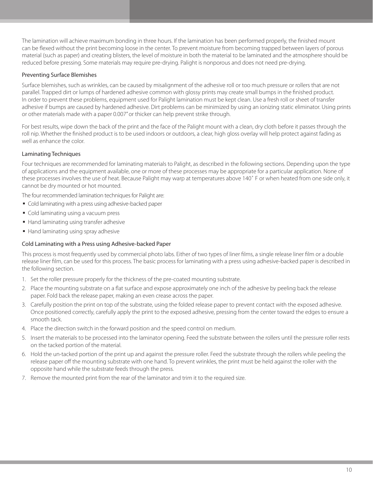The lamination will achieve maximum bonding in three hours. If the lamination has been performed properly, the finished mount can be flexed without the print becoming loose in the center. To prevent moisture from becoming trapped between layers of porous material (such as paper) and creating blisters, the level of moisture in both the material to be laminated and the atmosphere should be reduced before pressing. Some materials may require pre-drying. Palight is nonporous and does not need pre-drying.

### Preventing Surface Blemishes

Surface blemishes, such as wrinkles, can be caused by misalignment of the adhesive roll or too much pressure or rollers that are not parallel. Trapped dirt or lumps of hardened adhesive common with glossy prints may create small bumps in the finished product. In order to prevent these problems, equipment used for Palight lamination must be kept clean. Use a fresh roll or sheet of transfer adhesive if bumps are caused by hardened adhesive. Dirt problems can be minimized by using an ionizing static eliminator. Using prints or other materials made with a paper 0.007" or thicker can help prevent strike through.

For best results, wipe down the back of the print and the face of the Palight mount with a clean, dry cloth before it passes through the roll nip. Whether the finished product is to be used indoors or outdoors, a clear, high gloss overlay will help protect against fading as well as enhance the color.

### Laminating Techniques

Four techniques are recommended for laminating materials to Palight, as described in the following sections. Depending upon the type of applications and the equipment available, one or more of these processes may be appropriate for a particular application. None of these processes involves the use of heat. Because Palight may warp at temperatures above 140˚ F or when heated from one side only, it cannot be dry mounted or hot mounted.

The four recommended lamination techniques for Palight are:

- Cold laminating with a press using adhesive-backed paper
- Cold laminating using a vacuum press
- Hand laminating using transfer adhesive
- Hand laminating using spray adhesive

### Cold Laminating with a Press using Adhesive-backed Paper

This process is most frequently used by commercial photo labs. Either of two types of liner films, a single release liner film or a double release liner film, can be used for this process. The basic process for laminating with a press using adhesive-backed paper is described in the following section.

- 1. Set the roller pressure properly for the thickness of the pre-coated mounting substrate.
- 2. Place the mounting substrate on a flat surface and expose approximately one inch of the adhesive by peeling back the release paper. Fold back the release paper, making an even crease across the paper.
- 3. Carefully position the print on top of the substrate, using the folded release paper to prevent contact with the exposed adhesive. Once positioned correctly, carefully apply the print to the exposed adhesive, pressing from the center toward the edges to ensure a smooth tack.
- 4. Place the direction switch in the forward position and the speed control on medium.
- 5. Insert the materials to be processed into the laminator opening. Feed the substrate between the rollers until the pressure roller rests on the tacked portion of the material.
- 6. Hold the un-tacked portion of the print up and against the pressure roller. Feed the substrate through the rollers while peeling the release paper off the mounting substrate with one hand. To prevent wrinkles, the print must be held against the roller with the opposite hand while the substrate feeds through the press.
- 7. Remove the mounted print from the rear of the laminator and trim it to the required size.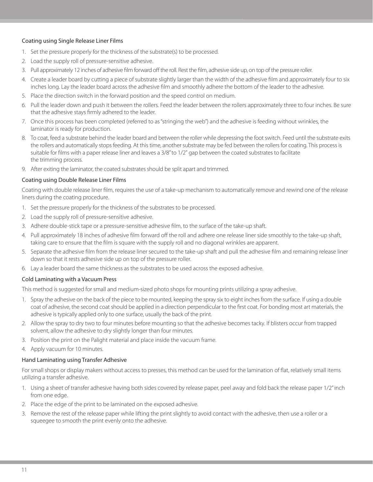#### Coating using Single Release Liner Films

- 1. Set the pressure properly for the thickness of the substrate(s) to be processed.
- 2. Load the supply roll of pressure-sensitive adhesive.
- 3. Pull approximately 12 inches of adhesive film forward off the roll. Rest the film, adhesive side up, on top of the pressure roller.
- 4. Create a leader board by cutting a piece of substrate slightly larger than the width of the adhesive film and approximately four to six inches long. Lay the leader board across the adhesive film and smoothly adhere the bottom of the leader to the adhesive.
- 5. Place the direction switch in the forward position and the speed control on medium.
- 6. Pull the leader down and push it between the rollers. Feed the leader between the rollers approximately three to four inches. Be sure that the adhesive stays firmly adhered to the leader.
- 7. Once this process has been completed (referred to as "stringing the web") and the adhesive is feeding without wrinkles, the laminator is ready for production.
- 8. To coat, feed a substrate behind the leader board and between the roller while depressing the foot switch. Feed until the substrate exits the rollers and automatically stops feeding. At this time, another substrate may be fed between the rollers for coating. This process is suitable for films with a paper release liner and leaves a 3/8" to 1/2" gap between the coated substrates to facilitate the trimming process.
- 9. After exiting the laminator, the coated substrates should be split apart and trimmed.

#### Coating using Double Release Liner Films

Coating with double release liner film, requires the use of a take-up mechanism to automatically remove and rewind one of the release liners during the coating procedure.

- 1. Set the pressure properly for the thickness of the substrates to be processed.
- 2. Load the supply roll of pressure-sensitive adhesive.
- 3. Adhere double-stick tape or a pressure-sensitive adhesive film, to the surface of the take-up shaft.
- 4. Pull approximately 18 inches of adhesive film forward off the roll and adhere one release liner side smoothly to the take-up shaft, taking care to ensure that the film is square with the supply roll and no diagonal wrinkles are apparent.
- 5. Separate the adhesive film from the release liner secured to the take-up shaft and pull the adhesive film and remaining release liner down so that it rests adhesive side up on top of the pressure roller.
- 6. Lay a leader board the same thickness as the substrates to be used across the exposed adhesive.

### Cold Laminating with a Vacuum Press

This method is suggested for small and medium-sized photo shops for mounting prints utilizing a spray adhesive.

- 1. Spray the adhesive on the back of the piece to be mounted, keeping the spray six to eight inches from the surface. If using a double coat of adhesive, the second coat should be applied in a direction perpendicular to the first coat. For bonding most art materials, the adhesive is typically applied only to one surface, usually the back of the print.
- 2. Allow the spray to dry two to four minutes before mounting so that the adhesive becomes tacky. If blisters occur from trapped solvent, allow the adhesive to dry slightly longer than four minutes.
- 3. Position the print on the Palight material and place inside the vacuum frame.
- 4. Apply vacuum for 10 minutes.

### Hand Laminating using Transfer Adhesive

For small shops or display makers without access to presses, this method can be used for the lamination of flat, relatively small items utilizing a transfer adhesive.

- 1. Using a sheet of transfer adhesive having both sides covered by release paper, peel away and fold back the release paper 1/2" inch from one edge.
- 2. Place the edge of the print to be laminated on the exposed adhesive.
- 3. Remove the rest of the release paper while lifting the print slightly to avoid contact with the adhesive, then use a roller or a squeegee to smooth the print evenly onto the adhesive.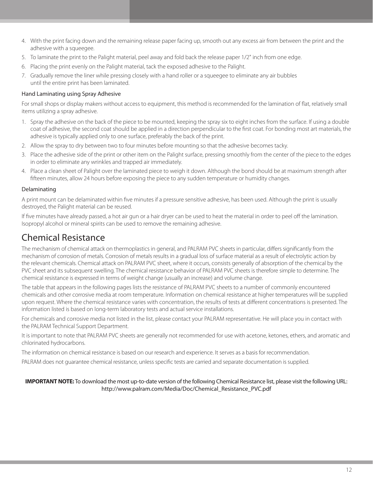- 4. With the print facing down and the remaining release paper facing up, smooth out any excess air from between the print and the adhesive with a squeegee.
- 5. To laminate the print to the Palight material, peel away and fold back the release paper 1/2" inch from one edge.
- 6. Placing the print evenly on the Palight material, tack the exposed adhesive to the Palight.
- 7. Gradually remove the liner while pressing closely with a hand roller or a squeegee to eliminate any air bubbles until the entire print has been laminated.

#### Hand Laminating using Spray Adhesive

For small shops or display makers without access to equipment, this method is recommended for the lamination of flat, relatively small items utilizing a spray adhesive.

- 1. Spray the adhesive on the back of the piece to be mounted, keeping the spray six to eight inches from the surface. If using a double coat of adhesive, the second coat should be applied in a direction perpendicular to the first coat. For bonding most art materials, the adhesive is typically applied only to one surface, preferably the back of the print.
- 2. Allow the spray to dry between two to four minutes before mounting so that the adhesive becomes tacky.
- 3. Place the adhesive side of the print or other item on the Palight surface, pressing smoothly from the center of the piece to the edges in order to eliminate any wrinkles and trapped air immediately.
- 4. Place a clean sheet of Palight over the laminated piece to weigh it down. Although the bond should be at maximum strength after fifteen minutes, allow 24 hours before exposing the piece to any sudden temperature or humidity changes.

### Delaminating

A print mount can be delaminated within five minutes if a pressure sensitive adhesive, has been used. Although the print is usually destroyed, the Palight material can be reused.

If five minutes have already passed, a hot air gun or a hair dryer can be used to heat the material in order to peel off the lamination. Isopropyl alcohol or mineral spirits can be used to remove the remaining adhesive.

### Chemical Resistance

The mechanism of chemical attack on thermoplastics in general, and PALRAM PVC sheets in particular, differs significantly from the mechanism of corrosion of metals. Corrosion of metals results in a gradual loss of surface material as a result of electrolytic action by the relevant chemicals. Chemical attack on PALRAM PVC sheet, where it occurs, consists generally of absorption of the chemical by the PVC sheet and its subsequent swelling. The chemical resistance behavior of PALRAM PVC sheets is therefore simple to determine. The chemical resistance is expressed in terms of weight change (usually an increase) and volume change.

The table that appears in the following pages lists the resistance of PALRAM PVC sheets to a number of commonly encountered chemicals and other corrosive media at room temperature. Information on chemical resistance at higher temperatures will be supplied upon request. Where the chemical resistance varies with concentration, the results of tests at different concentrations is presented. The information listed is based on long-term laboratory tests and actual service installations.

For chemicals and corrosive media not listed in the list, please contact your PALRAM representative. He will place you in contact with the PALRAM Technical Support Department.

It is important to note that PALRAM PVC sheets are generally not recommended for use with acetone, ketones, ethers, and aromatic and chlorinated hydrocarbons.

The information on chemical resistance is based on our research and experience. It serves as a basis for recommendation.

PALRAM does not guarantee chemical resistance, unless specific tests are carried and separate documentation is supplied.

#### **IMPORTANT NOTE:** To download the most up-to-date version of the following Chemical Resistance list, please visit the following URL: http://www.palram.com/Media/Doc/Chemical\_Resistance\_PVC.pdf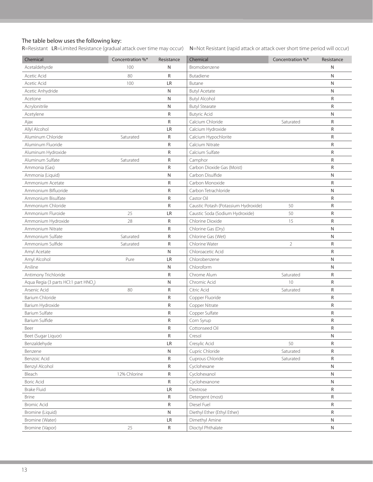#### The table below uses the following key:

R=Resistant LR=Limited Resistance (gradual attack over time may occur) N=Not Resistant (rapid attack or attack over short time period will occur)

| Chemical                                          | Concentration %* | Resistance   | Chemical                             | Concentration %* | Resistance   |
|---------------------------------------------------|------------------|--------------|--------------------------------------|------------------|--------------|
| Acetaldehyrde                                     | 100              | N            | Bromobenzene                         |                  | N            |
| Acetic Acid                                       | 80               | $\mathsf{R}$ | Butadiene                            |                  | N            |
| Acetic Acid                                       | 100              | LR           | Butane                               |                  | N            |
| Acetic Anhydride                                  |                  | N            | <b>Butyl Acetate</b>                 |                  | N            |
| Acetone                                           |                  | N            | <b>Butyl Alcohol</b>                 |                  | R            |
| Acrylonitrile                                     |                  | N            | <b>Butyl Stearate</b>                |                  | R            |
| Acetylene                                         |                  | $\mathsf R$  | <b>Butyric Acid</b>                  |                  | N            |
| Ajax                                              |                  | R            | Calcium Chloride                     | Saturated        | R            |
| Allyl Alcohol                                     |                  | LR           | Calcium Hydroxide                    |                  | ${\sf R}$    |
| Aluminum Chloride                                 | Saturated        | R            | Calcium Hypochlorite                 |                  | R            |
| Aluminum Fluoride                                 |                  | ${\sf R}$    | Calcium Nitrate                      |                  | R            |
| Aluminum Hydroxide                                |                  | $\mathsf R$  | Calcium Sulfate                      |                  | R            |
| Aluminum Sulfate                                  | Saturated        | R            | Camphor                              |                  | R            |
| Ammonia (Gas)                                     |                  | $\mathsf R$  | Carbon Dioxide Gas (Moist)           |                  | ${\sf R}$    |
| Ammonia (Liquid)                                  |                  | N            | Carbon Disulfide                     |                  | N            |
| Ammonium Acetate                                  |                  | R            | Carbon Monoxide                      |                  | R            |
| Ammonium Bifluoride                               |                  | ${\sf R}$    | Carbon Tetrachloride                 |                  | N            |
| Ammonium Bisulfate                                |                  | R            | Castor Oil                           |                  | R            |
| Ammonium Chloride                                 |                  | $\mathsf R$  | Caustic Potash (Potassium Hydroxide) | 50               | ${\sf R}$    |
| Ammonium Fluroide                                 | 25               | LR           | Caustic Soda (Sodium Hydroxide)      | 50               | R            |
| Ammonium Hydroxide                                | 28               | R            | Chlorine Dioxide                     | 15               | R            |
| Ammonium Nitrate                                  |                  | R            | Chlorine Gas (Dry)                   |                  | N            |
| Ammonium Sulfate                                  | Saturated        | $\mathsf R$  | Chlorine Gas (Wet)                   |                  | N            |
| Ammonium Sulfide                                  | Saturated        | $\mathsf R$  | Chlorine Water                       | $\overline{2}$   | R            |
| Amyl Acetate                                      |                  | N            | Chloroacetic Acid                    |                  | R            |
| Amyl Alcohol                                      | Pure             | LR           | Chlorobenzene                        |                  | N            |
| Aniline                                           |                  | N            | Chloroform                           |                  | N            |
| Antimony Trichloride                              |                  | $\mathsf R$  | Chrome Alum                          | Saturated        | R            |
| Aqua Regia (3 parts HCl:1 part HNO <sub>3</sub> ) |                  | N            | Chromic Acid                         | 10               | R            |
| Arsenic Acid                                      | 80               | R            | Citric Acid                          | Saturated        | R            |
| Barium Chloride                                   |                  | $\mathsf R$  | Copper Fluoride                      |                  | ${\sf R}$    |
| Barium Hydroxide                                  |                  | ${\sf R}$    | Copper Nitrate                       |                  | R            |
| <b>Barium Sulfate</b>                             |                  | $\mathsf R$  | Copper Sulfate                       |                  | R            |
| Barium Sulfide                                    |                  | R            | Corn Syrup                           |                  | R            |
| Beer                                              |                  | ${\sf R}$    | Cottonseed Oil                       |                  | ${\sf R}$    |
| Beet (Sugar Liquor)                               |                  | ${\sf R}$    | Cresol                               |                  | N            |
| Benzaldehyde                                      |                  | LR           | Cresylic Acid                        | 50               | R            |
| Benzene                                           |                  | N            | Cupric Chloride                      | Saturated        | R            |
| Benzoic Acid                                      |                  | R            | Cuprous Chloride                     | Saturated        | R            |
| Benzyl Alcohol                                    |                  | ${\sf R}$    | Cyclohexane                          |                  | N            |
| Bleach                                            | 12% Chlorine     | R            | Cyclohexanol                         |                  | ${\sf N}$    |
| <b>Boric Acid</b>                                 |                  | R            | Cyclohexanone                        |                  | N            |
| <b>Brake Fluid</b>                                |                  | LR           | Dextrose                             |                  | R            |
| <b>Brine</b>                                      |                  | R            | Detergent (most)                     |                  | R            |
| <b>Bromic Acid</b>                                |                  | R            | Diesel Fuel                          |                  | R            |
| Bromine (Liquid)                                  |                  | N            | Diethyl Ether (Ethyl Ether)          |                  | $\mathsf{R}$ |
| Bromine (Water)                                   |                  | LR           | Dimethyl Amine                       |                  | ${\sf N}$    |
| Bromine (Vapor)                                   | 25               | ${\sf R}$    | Dioctyl Phthalate                    |                  | $\mathsf{N}$ |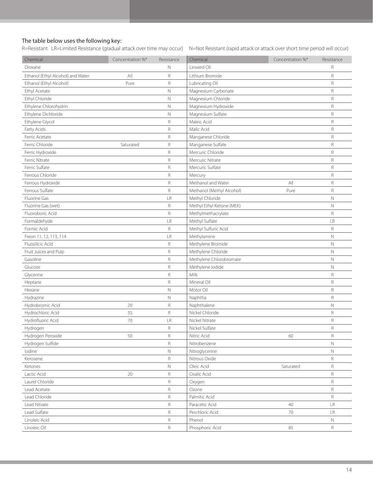### The table below uses the following key:

R=Resistant LR=Limited Resistance (gradual attack over time may occur) N=Not Resistant (rapid attack or attack over short time period will occur)

| Chemical                          | Concentration %* | Resistance   | Chemical                  | Concentration %* | Resistance   |
|-----------------------------------|------------------|--------------|---------------------------|------------------|--------------|
| Dioxane                           |                  | N            | Linseed Oil               |                  | R            |
| Ethanol (Ethyl Alcohol) and Water | All              | R            | Lithium Bromide           |                  | R            |
| Ethanol (Ethyl Alcohol)           | Pure             | $\mathsf R$  | Lubricating Oil           |                  | R            |
| Ethyl Acetate                     |                  | $\mathsf{N}$ | Magnesium Carbonate       |                  | $\mathsf R$  |
| Ethyl Chloride                    |                  | $\mathsf{N}$ | Magnesium Chloride        |                  | $\mathsf R$  |
| Ethylene Chlorohydrin             |                  | $\mathsf N$  | Magnesium Hydroxide       |                  | R            |
| Ethylene Dichloride               |                  | $\mathsf{N}$ | Magnesium Sulfate         |                  | $\mathsf R$  |
| Ethylene Glycol                   |                  | $\mathsf R$  | Maleic Acid               |                  | R            |
| Fatty Acids                       |                  | $\mathsf R$  | Malic Acid                |                  | $\mathsf R$  |
| Ferric Acetate                    |                  | $\mathsf R$  | Manganese Chloride        |                  | $\mathsf R$  |
| Ferric Chloride                   | Saturated        | $\mathsf R$  | Manganese Sulfate         |                  | $\mathsf R$  |
| Ferric Hydroxide                  |                  | $\mathsf R$  | Mercuric Chloride         |                  | $\mathsf R$  |
| <b>Ferric Nitrate</b>             |                  | $\mathsf R$  | Mercuric Nitrate          |                  | $\mathsf R$  |
| Ferric Sulfate                    |                  | $\mathsf R$  | Mercuric Sulfate          |                  | $\mathsf R$  |
| Ferrous Chloride                  |                  | $\mathsf R$  | Mercury                   |                  | $\mathsf R$  |
| Ferrous Hydroxide                 |                  | $\mathsf R$  | Methanol and Water        | All              | $\mathsf R$  |
| Ferrous Sulfate                   |                  | $\mathsf{R}$ | Methanol (Methyl Alcohol) | Pure             | $\mathsf R$  |
| Fluorine Gas                      |                  | LR           | Methyl Chloride           |                  | N            |
| Fluorine Gas (wet)                |                  | $\mathsf R$  | Methyl Ethyl Ketone (MEK) |                  | $\hbox{N}$   |
| Fluoroboric Acid                  |                  | $\mathsf R$  | Methylmethacrylate        |                  | $\mathsf R$  |
| Formaldehyde                      |                  | LR           | Methyl Sulfate            |                  | LR           |
| Formic Acid                       |                  | $\mathsf R$  | Methyl Sulfuric Acid      |                  | R            |
| Freon 11, 12, 113, 114            |                  | LR           | Methylamine               |                  | $\mathbb N$  |
| Fluosilicic Acid                  |                  | $\mathsf R$  | Methylene Bromide         |                  | $\mathbb N$  |
| Fruit Juices and Pulp             |                  | $\mathsf R$  | Methylene Chloride        |                  | $\mathbb N$  |
| Gasoline                          |                  | $\mathsf R$  | Methylene Chlorobromate   |                  | $\mathbb N$  |
| Glucose                           |                  | $\mathsf R$  | Methylene lodide          |                  | $\mathbb N$  |
| Glycerine                         |                  | $\mathsf R$  | Milk                      |                  | $\mathsf R$  |
| Heptane                           |                  | $\mathsf R$  | Mineral Oil               |                  | $\mathsf R$  |
| Hexane                            |                  | $\mathsf N$  | Motor Oil                 |                  | $\mathsf R$  |
| Hydrazine                         |                  | $\mathsf N$  | Naphtha                   |                  | $\mathsf R$  |
| Hydrobromic Acid                  | 20               | $\mathsf R$  | Naphthalene               |                  | $\mathsf{N}$ |
| Hydrochloric Acid                 | 35               | $\mathsf R$  | Nickel Chloride           |                  | R            |
| Hydrofluoric Acid                 | 70               | LR           | Nickel Nitrate            |                  | R            |
| Hydrogen                          |                  | R            | Nickel Sulfate            |                  | R            |
| Hydrogen Peroxide                 | 50               | $\mathsf R$  | Nitric Acid               | 60               | $\mathsf R$  |
| Hydrogen Sulfide                  |                  | $\mathsf R$  | Nitrobenzene              |                  | $\mathbb N$  |
| lodine                            |                  | $\mathsf N$  | Nitroglycerine            |                  | $\mathbb N$  |
| Kerosene                          |                  | $\mathsf R$  | Nitrous Oxide             |                  | R            |
| Ketones                           |                  | $\mathsf N$  | Oleic Acid                | Saturated        | $\mathsf R$  |
| Lactic Acid                       | $20\,$           | $\mathsf R$  | Oxalic Acid               |                  | $\mathsf R$  |
| Laurel Chloride                   |                  | R            | Oxygen                    |                  | $\mathsf R$  |
| Lead Acetate                      |                  | $\mathsf R$  | Ozone                     |                  | R            |
| Lead Chloride                     |                  | $\mathsf R$  | Palmitic Acid             |                  | $\mathsf R$  |
| Lead Nitrate                      |                  | R            | Paracetic Acid            | 40               | LR           |
| Lead Sulfate                      |                  | $\mathsf R$  | Perchloric Acid           | 70               | LR           |
| Linoleic Acid                     |                  | $\mathsf R$  | Phenol                    |                  | N            |
| Linoleic Oil                      |                  | $\mathsf R$  | Phosphoric Acid           | 85               | R            |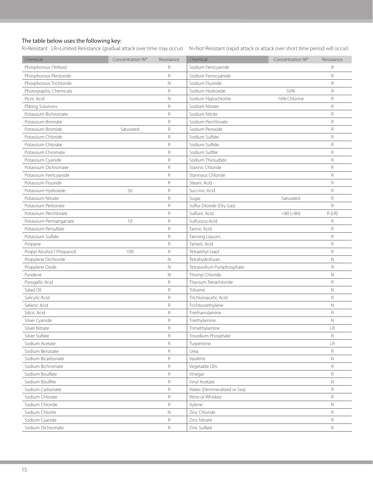#### The table below uses the following key:

R=Resistant LR=Limited Resistance (gradual attack over time may occur) N=Not Resistant (rapid attack or attack over short time period will occur)

| Chemical                   | Concentration %* | Resistance   | Chemical                     | Concentration %* | Resistance    |
|----------------------------|------------------|--------------|------------------------------|------------------|---------------|
| Phosphorous (Yellow)       |                  | R            | Sodium Ferricyanide          |                  | R             |
| Phosphorous Pentoxide      |                  | R            | Sodium Ferrocyanide          |                  | R             |
| Phosphorous Trichloride    |                  | N            | Sodium Fluoride              |                  | R             |
| Photographic Chemicals     |                  | R            | Sodium Hydroxide             | 50%              | R             |
| Picric Acid                |                  | $\mathsf{N}$ | Sodium Hypochlorite          | 16% Chlorine     | R             |
| Plating Solutions          |                  | R            | Sodium Nitrate               |                  | R             |
| Potassium Bichromate       |                  | R            | Sodium Nitrite               |                  | $\mathsf R$   |
| Potassium Bromate          |                  | R            | Sodium Perchlorate           |                  | R             |
| Potassium Bromide          | Saturated        | R            | Sodium Peroxide              |                  | $\mathsf R$   |
| Potassium Chloride         |                  | R            | Sodium Sulfate               |                  | $\mathsf R$   |
| Potassium Chlorate         |                  | R            | Sodium Sulfide               |                  | $\mathsf R$   |
| Potassium Chromate         |                  | R            | Sodium Sulfite               |                  | R             |
| Potassium Cyanide          |                  | R            | Sodium Thiosulfate           |                  | R             |
| Potassium Dichromate       |                  | R            | Stannic Chloride             |                  | R             |
| Potassium Ferricyanide     |                  | R            | Stannous Chloride            |                  | $\mathsf R$   |
| Potassium Fluoride         |                  | R            | Stearic Acid                 |                  | R             |
| Potassium Hydroxide        | 50               | R            | Succinic Acid                |                  | $\mathsf R$   |
| Potassium Nitrate          |                  | R            | Sugar                        | Saturated        | R             |
| Potassium Perborate        |                  | R            | Sulfur Dioxide (Dry Gas)     |                  | R             |
| Potassium Perchlorate      |                  | R            | Sulfuric Acid                | <80 (> 80)       | R(LR)         |
| Potassium Permanganate     | 10               | R            | Sulfurous Acid               |                  | R             |
| Potassium Persulfate       |                  | R            | Tannic Acid                  |                  | R             |
| Potassium Sulfate          |                  | R            | <b>Tanning Liquors</b>       |                  | R             |
| Propane                    |                  | R            | Tartaric Acid                |                  | R             |
| Propyl Alcohol (1Propanol) | 100              | R            | Tetraethyl Lead              |                  | $\mathsf R$   |
| Propylene Dichloride       |                  | $\mathsf{N}$ | Tetrahydrofuran              |                  | N             |
| Propylene Oxide            |                  | $\mathsf{N}$ | Tetrasodium Pyrophosphate    |                  | R             |
| Pyridene                   |                  | $\mathsf{N}$ | Thionyl Chloride             |                  | N             |
| Pyrogallic Acid            |                  | R            | Titanium Tetrachloride       |                  | R             |
| Salad Oil                  |                  | R            | Toluene                      |                  | $\mathbb N$   |
| Salicylic Acid             |                  | R            | Trichloroacetic Acid         |                  | $\mathsf R$   |
| Selenic Acid               |                  | R            | Trichloroethylene            |                  | $\mathbb N$   |
| Silicic Acid               |                  | R            | Triethanolamine              |                  | R             |
| Silver Cyanide             |                  | R            | Triethylamine                |                  | N             |
| Silver Nitrate             |                  | $\mathsf R$  | Trimethylamine               |                  | $\mathsf{LR}$ |
| Silver Sulfate             |                  | R            | Trisodium Phosphate          |                  | R             |
| Sodium Acetate             |                  | R            | Turpentine                   |                  | LR            |
| Sodium Benzoate            |                  | R            | Urea                         |                  | R             |
| Sodium Bicarbonate         |                  | R            | Vasilene                     |                  | Ν             |
| Sodium Bichromate          |                  | R            | Vegetable Oils               |                  | R             |
| Sodium Bisulfate           |                  | R            | Vinegar                      |                  | R             |
| Sodium Bisulfite           |                  | R            | Vinyl Acetate                |                  | Ν             |
| Sodium Carbonate           |                  | R            | Water (Demineralized or Sea) |                  | R             |
| Sodium Chlorate            |                  | R            | Wine or Whiskey              |                  | R             |
| Sodium Chloride            |                  | R            | Xylene                       |                  | Ν             |
| Sodium Chlorite            |                  | Ν            | Zinc Chloride                |                  | R             |
| Sodium Cyanide             |                  | R            | Zinc Nitrate                 |                  | R             |
| Sodium Dichromate          |                  | R            | Zinc Sulfate                 |                  | R             |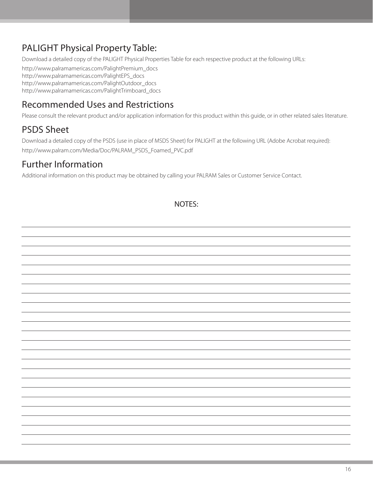# PALIGHT Physical Property Table:

Download a detailed copy of the PALIGHT Physical Properties Table for each respective product at the following URLs:

http://www.palramamericas.com/PalightPremium\_docs http://www.palramamericas.com/PalightEPS\_docs http://www.palramamericas.com/PalightOutdoor\_docs http://www.palramamericas.com/PalightTrimboard\_docs

## Recommended Uses and Restrictions

Please consult the relevant product and/or application information for this product within this guide, or in other related sales literature.

### PSDS Sheet

Download a detailed copy of the PSDS (use in place of MSDS Sheet) for PALIGHT at the following URL (Adobe Acrobat required): http://www.palram.com/Media/Doc/PALRAM\_PSDS\_Foamed\_PVC.pdf

### Further Information

Additional information on this product may be obtained by calling your PALRAM Sales or Customer Service Contact.

NOTES: